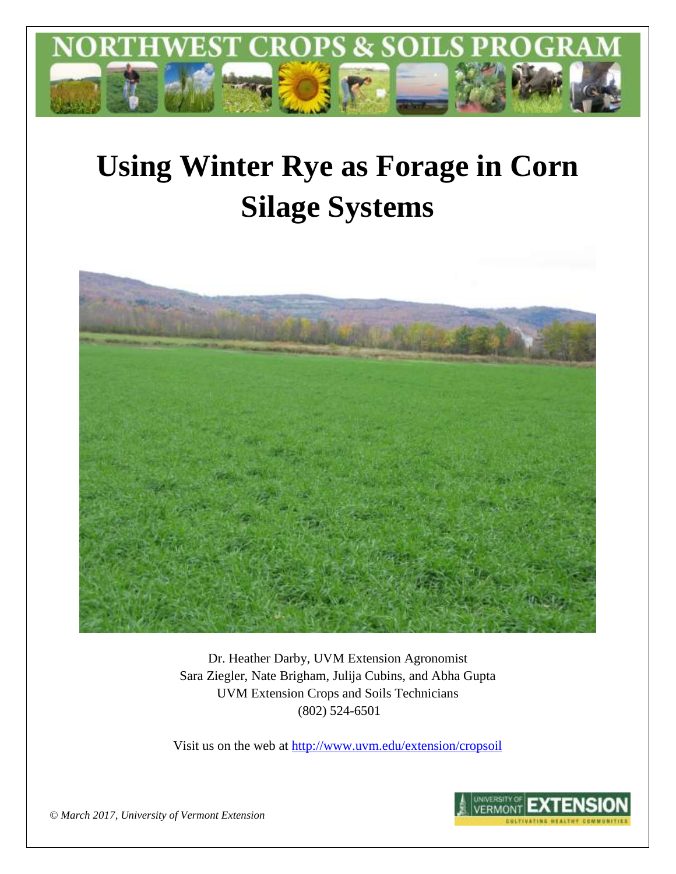

# **Using Winter Rye as Forage in Corn Silage Systems**



Dr. Heather Darby, UVM Extension Agronomist Sara Ziegler, Nate Brigham, Julija Cubins, and Abha Gupta UVM Extension Crops and Soils Technicians (802) 524-6501

Visit us on the web at <http://www.uvm.edu/extension/cropsoil>



*© March 2017, University of Vermont Extension*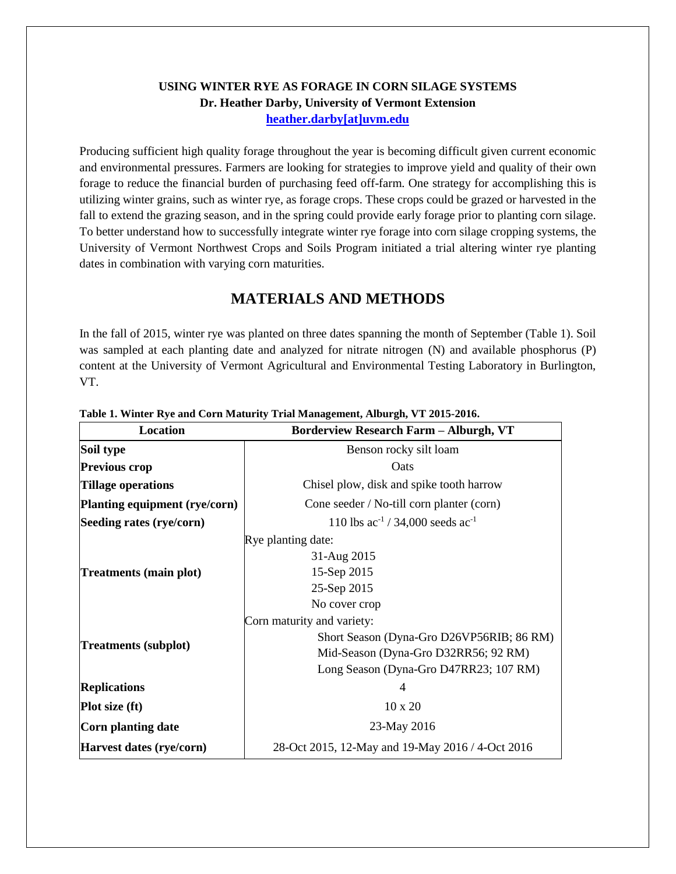#### **USING WINTER RYE AS FORAGE IN CORN SILAGE SYSTEMS Dr. Heather Darby, University of Vermont Extension [heather.darby\[at\]uvm.edu](mailto:heather.darby@uvm.edu?subject=2013%20Long%20Season%20Corn%20Report)**

Producing sufficient high quality forage throughout the year is becoming difficult given current economic and environmental pressures. Farmers are looking for strategies to improve yield and quality of their own forage to reduce the financial burden of purchasing feed off-farm. One strategy for accomplishing this is utilizing winter grains, such as winter rye, as forage crops. These crops could be grazed or harvested in the fall to extend the grazing season, and in the spring could provide early forage prior to planting corn silage. To better understand how to successfully integrate winter rye forage into corn silage cropping systems, the University of Vermont Northwest Crops and Soils Program initiated a trial altering winter rye planting dates in combination with varying corn maturities.

## **MATERIALS AND METHODS**

In the fall of 2015, winter rye was planted on three dates spanning the month of September (Table 1). Soil was sampled at each planting date and analyzed for nitrate nitrogen (N) and available phosphorus (P) content at the University of Vermont Agricultural and Environmental Testing Laboratory in Burlington, VT.

| <b>Location</b>               | <b>Borderview Research Farm - Alburgh, VT</b>    |
|-------------------------------|--------------------------------------------------|
| Soil type                     | Benson rocky silt loam                           |
| <b>Previous crop</b>          | Oats                                             |
| Tillage operations            | Chisel plow, disk and spike tooth harrow         |
| Planting equipment (rye/corn) | Cone seeder / No-till corn planter (corn)        |
| Seeding rates (rye/corn)      | 110 lbs $ac^{-1}$ / 34,000 seeds $ac^{-1}$       |
|                               | Rye planting date:                               |
|                               | 31-Aug 2015                                      |
| Treatments (main plot)        | 15-Sep 2015                                      |
|                               | 25-Sep 2015                                      |
|                               | No cover crop                                    |
|                               | Corn maturity and variety:                       |
|                               | Short Season (Dyna-Gro D26VP56RIB; 86 RM)        |
| <b>Treatments (subplot)</b>   | Mid-Season (Dyna-Gro D32RR56; 92 RM)             |
|                               | Long Season (Dyna-Gro D47RR23; 107 RM)           |
| <b>Replications</b>           | 4                                                |
| <b>Plot size (ft)</b>         | $10 \times 20$                                   |
| Corn planting date            | 23-May 2016                                      |
| Harvest dates (rye/corn)      | 28-Oct 2015, 12-May and 19-May 2016 / 4-Oct 2016 |

#### **Table 1. Winter Rye and Corn Maturity Trial Management, Alburgh, VT 2015-2016.**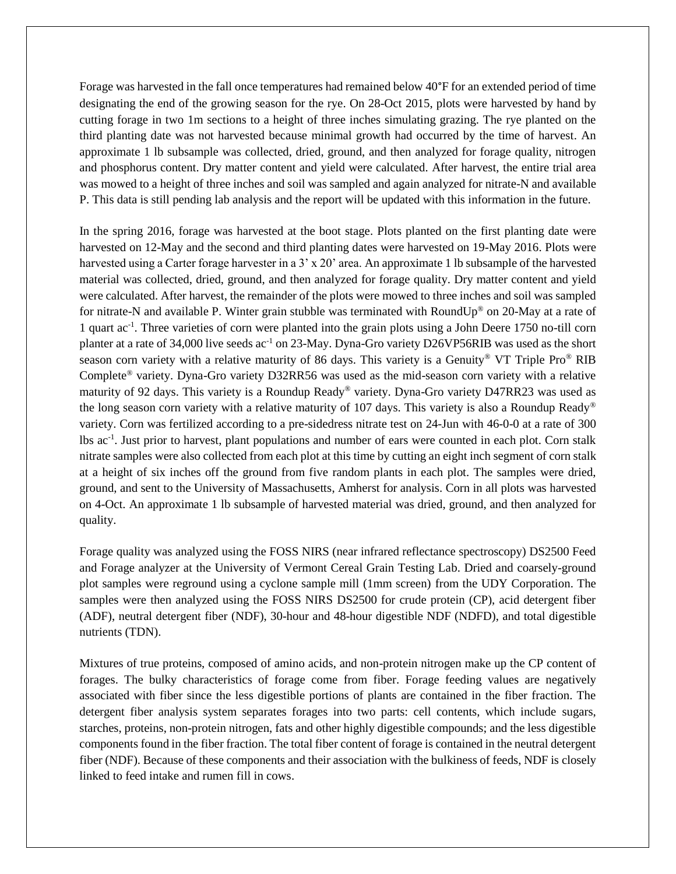Forage was harvested in the fall once temperatures had remained below 40°F for an extended period of time designating the end of the growing season for the rye. On 28-Oct 2015, plots were harvested by hand by cutting forage in two 1m sections to a height of three inches simulating grazing. The rye planted on the third planting date was not harvested because minimal growth had occurred by the time of harvest. An approximate 1 lb subsample was collected, dried, ground, and then analyzed for forage quality, nitrogen and phosphorus content. Dry matter content and yield were calculated. After harvest, the entire trial area was mowed to a height of three inches and soil was sampled and again analyzed for nitrate-N and available P. This data is still pending lab analysis and the report will be updated with this information in the future.

In the spring 2016, forage was harvested at the boot stage. Plots planted on the first planting date were harvested on 12-May and the second and third planting dates were harvested on 19-May 2016. Plots were harvested using a Carter forage harvester in a 3' x 20' area. An approximate 1 lb subsample of the harvested material was collected, dried, ground, and then analyzed for forage quality. Dry matter content and yield were calculated. After harvest, the remainder of the plots were mowed to three inches and soil was sampled for nitrate-N and available P. Winter grain stubble was terminated with RoundUp® on 20-May at a rate of 1 quart ac-1 . Three varieties of corn were planted into the grain plots using a John Deere 1750 no-till corn planter at a rate of 34,000 live seeds ac-1 on 23-May. Dyna-Gro variety D26VP56RIB was used as the short season corn variety with a relative maturity of 86 days. This variety is a Genuity<sup>®</sup> VT Triple Pro<sup>®</sup> RIB Complete® variety. Dyna-Gro variety D32RR56 was used as the mid-season corn variety with a relative maturity of 92 days. This variety is a Roundup Ready® variety. Dyna-Gro variety D47RR23 was used as the long season corn variety with a relative maturity of 107 days. This variety is also a Roundup Ready® variety. Corn was fertilized according to a pre-sidedress nitrate test on 24-Jun with 46-0-0 at a rate of 300 lbs ac-1 . Just prior to harvest, plant populations and number of ears were counted in each plot. Corn stalk nitrate samples were also collected from each plot at this time by cutting an eight inch segment of corn stalk at a height of six inches off the ground from five random plants in each plot. The samples were dried, ground, and sent to the University of Massachusetts, Amherst for analysis. Corn in all plots was harvested on 4-Oct. An approximate 1 lb subsample of harvested material was dried, ground, and then analyzed for quality.

Forage quality was analyzed using the FOSS NIRS (near infrared reflectance spectroscopy) DS2500 Feed and Forage analyzer at the University of Vermont Cereal Grain Testing Lab. Dried and coarsely-ground plot samples were reground using a cyclone sample mill (1mm screen) from the UDY Corporation. The samples were then analyzed using the FOSS NIRS DS2500 for crude protein (CP), acid detergent fiber (ADF), neutral detergent fiber (NDF), 30-hour and 48-hour digestible NDF (NDFD), and total digestible nutrients (TDN).

Mixtures of true proteins, composed of amino acids, and non-protein nitrogen make up the CP content of forages. The bulky characteristics of forage come from fiber. Forage feeding values are negatively associated with fiber since the less digestible portions of plants are contained in the fiber fraction. The detergent fiber analysis system separates forages into two parts: cell contents, which include sugars, starches, proteins, non-protein nitrogen, fats and other highly digestible compounds; and the less digestible components found in the fiber fraction. The total fiber content of forage is contained in the neutral detergent fiber (NDF). Because of these components and their association with the bulkiness of feeds, NDF is closely linked to feed intake and rumen fill in cows.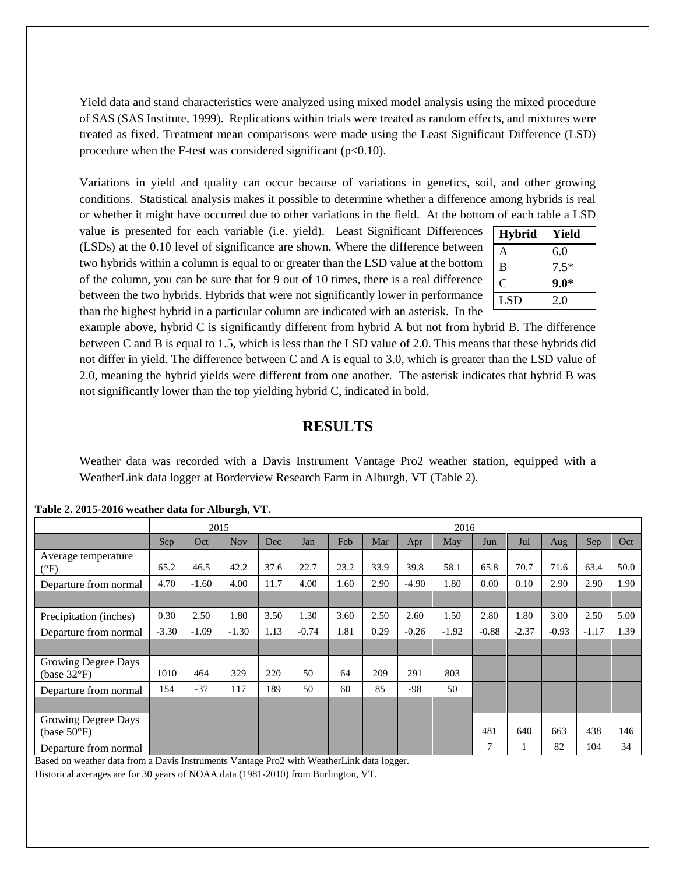Yield data and stand characteristics were analyzed using mixed model analysis using the mixed procedure of SAS (SAS Institute, 1999). Replications within trials were treated as random effects, and mixtures were treated as fixed. Treatment mean comparisons were made using the Least Significant Difference (LSD) procedure when the F-test was considered significant  $(p<0.10)$ .

Variations in yield and quality can occur because of variations in genetics, soil, and other growing conditions. Statistical analysis makes it possible to determine whether a difference among hybrids is real or whether it might have occurred due to other variations in the field. At the bottom of each table a LSD

value is presented for each variable (i.e. yield). Least Significant Differences (LSDs) at the 0.10 level of significance are shown. Where the difference between two hybrids within a column is equal to or greater than the LSD value at the bottom of the column, you can be sure that for 9 out of 10 times, there is a real difference between the two hybrids. Hybrids that were not significantly lower in performance than the highest hybrid in a particular column are indicated with an asterisk. In the

| <b>Hybrid</b> | Yield  |
|---------------|--------|
| A             | 6.0    |
| B             | $7.5*$ |
| C             | $9.0*$ |
| <b>LSD</b>    | 2.0    |

example above, hybrid C is significantly different from hybrid A but not from hybrid B. The difference between C and B is equal to 1.5, which is less than the LSD value of 2.0. This means that these hybrids did not differ in yield. The difference between C and A is equal to 3.0, which is greater than the LSD value of 2.0, meaning the hybrid yields were different from one another. The asterisk indicates that hybrid B was not significantly lower than the top yielding hybrid C, indicated in bold.

## **RESULTS**

Weather data was recorded with a Davis Instrument Vantage Pro2 weather station, equipped with a WeatherLink data logger at Borderview Research Farm in Alburgh, VT (Table 2).

|                                              | $\sigma$ ,<br>2015 |         |            | 2016 |         |      |      |         |         |         |         |         |         |      |
|----------------------------------------------|--------------------|---------|------------|------|---------|------|------|---------|---------|---------|---------|---------|---------|------|
|                                              | Sep                | Oct     | <b>Nov</b> | Dec  | Jan     | Feb  | Mar  | Apr     | May     | Jun     | Jul     | Aug     | Sep     | Oct  |
| Average temperature<br>$\rm ^{\circ F)}$     | 65.2               | 46.5    | 42.2       | 37.6 | 22.7    | 23.2 | 33.9 | 39.8    | 58.1    | 65.8    | 70.7    | 71.6    | 63.4    | 50.0 |
| Departure from normal                        | 4.70               | $-1.60$ | 4.00       | 11.7 | 4.00    | 1.60 | 2.90 | $-4.90$ | 1.80    | 0.00    | 0.10    | 2.90    | 2.90    | 1.90 |
|                                              |                    |         |            |      |         |      |      |         |         |         |         |         |         |      |
| Precipitation (inches)                       | 0.30               | 2.50    | 1.80       | 3.50 | 1.30    | 3.60 | 2.50 | 2.60    | 1.50    | 2.80    | 1.80    | 3.00    | 2.50    | 5.00 |
| Departure from normal                        | $-3.30$            | $-1.09$ | $-1.30$    | 1.13 | $-0.74$ | 1.81 | 0.29 | $-0.26$ | $-1.92$ | $-0.88$ | $-2.37$ | $-0.93$ | $-1.17$ | 1.39 |
|                                              |                    |         |            |      |         |      |      |         |         |         |         |         |         |      |
| Growing Degree Days<br>(base $32^{\circ}F$ ) | 1010               | 464     | 329        | 220  | 50      | 64   | 209  | 291     | 803     |         |         |         |         |      |
| Departure from normal                        | 154                | $-37$   | 117        | 189  | 50      | 60   | 85   | $-98$   | 50      |         |         |         |         |      |
|                                              |                    |         |            |      |         |      |      |         |         |         |         |         |         |      |
| Growing Degree Days<br>(base $50^{\circ}$ F) |                    |         |            |      |         |      |      |         |         | 481     | 640     | 663     | 438     | 146  |
| Departure from normal                        |                    |         |            |      |         |      |      |         |         | 7       |         | 82      | 104     | 34   |

**Table 2. 2015-2016 weather data for Alburgh, VT.**

Based on weather data from a Davis Instruments Vantage Pro2 with WeatherLink data logger.

Historical averages are for 30 years of NOAA data (1981-2010) from Burlington, VT.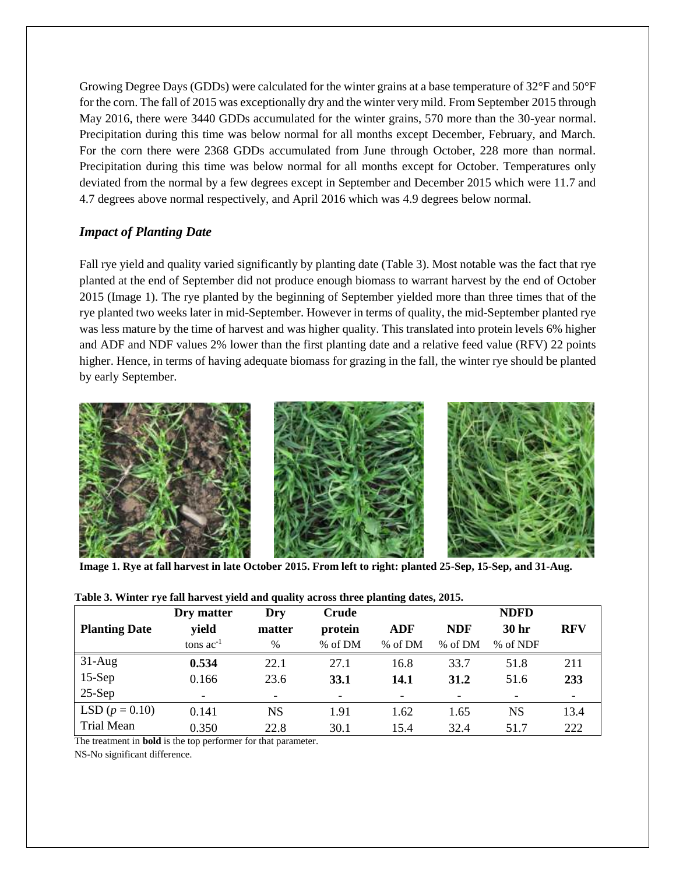Growing Degree Days (GDDs) were calculated for the winter grains at a base temperature of 32°F and 50°F for the corn. The fall of 2015 was exceptionally dry and the winter very mild. From September 2015 through May 2016, there were 3440 GDDs accumulated for the winter grains, 570 more than the 30-year normal. Precipitation during this time was below normal for all months except December, February, and March. For the corn there were 2368 GDDs accumulated from June through October, 228 more than normal. Precipitation during this time was below normal for all months except for October. Temperatures only deviated from the normal by a few degrees except in September and December 2015 which were 11.7 and 4.7 degrees above normal respectively, and April 2016 which was 4.9 degrees below normal.

#### *Impact of Planting Date*

Fall rye yield and quality varied significantly by planting date (Table 3). Most notable was the fact that rye planted at the end of September did not produce enough biomass to warrant harvest by the end of October 2015 (Image 1). The rye planted by the beginning of September yielded more than three times that of the rye planted two weeks later in mid-September. However in terms of quality, the mid-September planted rye was less mature by the time of harvest and was higher quality. This translated into protein levels 6% higher and ADF and NDF values 2% lower than the first planting date and a relative feed value (RFV) 22 points higher. Hence, in terms of having adequate biomass for grazing in the fall, the winter rye should be planted by early September.



**Image 1. Rye at fall harvest in late October 2015. From left to right: planted 25-Sep, 15-Sep, and 31-Aug.**

|                      | Dry matter               | Dry                      | Crude       |                          |                          | <b>NDFD</b>      |            |
|----------------------|--------------------------|--------------------------|-------------|--------------------------|--------------------------|------------------|------------|
| <b>Planting Date</b> | yield                    | matter                   | protein     | <b>ADF</b>               | <b>NDF</b>               | 30 <sub>hr</sub> | <b>RFV</b> |
|                      | tons $ac^{-1}$           | $\frac{0}{0}$            | % of DM     | % of DM                  | % of DM                  | % of NDF         |            |
| $31-Aug$             | 0.534                    | 22.1                     | 27.1        | 16.8                     | 33.7                     | 51.8             | 211        |
| $15-Sep$             | 0.166                    | 23.6                     | <b>33.1</b> | 14.1                     | 31.2                     | 51.6             | 233        |
| $25-Sep$             | $\overline{\phantom{0}}$ | $\overline{\phantom{a}}$ |             | $\overline{\phantom{0}}$ | $\overline{\phantom{a}}$ |                  |            |
| LSD $(p = 0.10)$     | 0.141                    | NS                       | 1.91        | 1.62                     | 1.65                     | <b>NS</b>        | 13.4       |
| Trial Mean           | 0.350                    | 22.8                     | 30.1        | 15.4                     | 32.4                     | 51.7             | 222        |

|  |  | Table 3. Winter rye fall harvest yield and quality across three planting dates, 2015. |  |  |
|--|--|---------------------------------------------------------------------------------------|--|--|
|  |  |                                                                                       |  |  |

The treatment in **bold** is the top performer for that parameter. NS-No significant difference.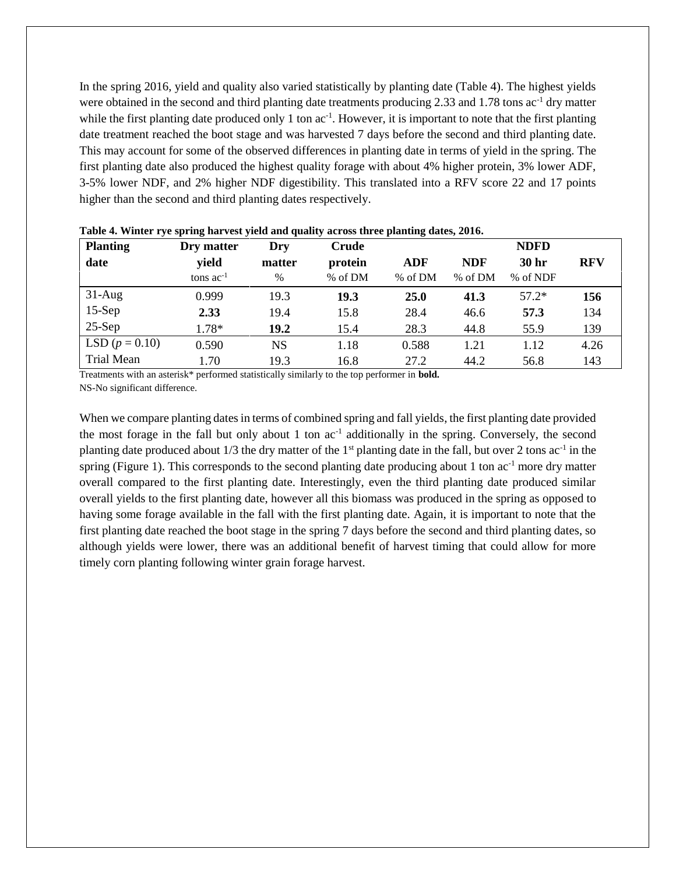In the spring 2016, yield and quality also varied statistically by planting date (Table 4). The highest yields were obtained in the second and third planting date treatments producing 2.33 and 1.78 tons  $ac^{-1}$  dry matter while the first planting date produced only 1 ton  $ac^{-1}$ . However, it is important to note that the first planting date treatment reached the boot stage and was harvested 7 days before the second and third planting date. This may account for some of the observed differences in planting date in terms of yield in the spring. The first planting date also produced the highest quality forage with about 4% higher protein, 3% lower ADF, 3-5% lower NDF, and 2% higher NDF digestibility. This translated into a RFV score 22 and 17 points higher than the second and third planting dates respectively.

| <b>Planting</b>  | Dry matter     | Dry           | Crude   |         |            | <b>NDFD</b>      |            |
|------------------|----------------|---------------|---------|---------|------------|------------------|------------|
| date             | yield          | matter        | protein | ADF     | <b>NDF</b> | 30 <sub>hr</sub> | <b>RFV</b> |
|                  | tons $ac^{-1}$ | $\frac{0}{0}$ | % of DM | % of DM | % of DM    | % of NDF         |            |
| $31-Aug$         | 0.999          | 19.3          | 19.3    | 25.0    | 41.3       | $57.2*$          | 156        |
| $15-Sep$         | 2.33           | 19.4          | 15.8    | 28.4    | 46.6       | 57.3             | 134        |
| $25-Sep$         | $1.78*$        | 19.2          | 15.4    | 28.3    | 44.8       | 55.9             | 139        |
| LSD $(p = 0.10)$ | 0.590          | <b>NS</b>     | 1.18    | 0.588   | 1.21       | 1.12             | 4.26       |
| Trial Mean       | 1.70           | 19.3          | 16.8    | 27.2    | 44.2       | 56.8             | 143        |

**Table 4. Winter rye spring harvest yield and quality across three planting dates, 2016.**

Treatments with an asterisk\* performed statistically similarly to the top performer in **bold.** NS-No significant difference.

When we compare planting dates in terms of combined spring and fall yields, the first planting date provided the most forage in the fall but only about 1 ton  $ac^{-1}$  additionally in the spring. Conversely, the second planting date produced about  $1/3$  the dry matter of the 1<sup>st</sup> planting date in the fall, but over 2 tons ac<sup>-1</sup> in the spring (Figure 1). This corresponds to the second planting date producing about 1 ton  $ac^{-1}$  more dry matter overall compared to the first planting date. Interestingly, even the third planting date produced similar overall yields to the first planting date, however all this biomass was produced in the spring as opposed to having some forage available in the fall with the first planting date. Again, it is important to note that the first planting date reached the boot stage in the spring 7 days before the second and third planting dates, so although yields were lower, there was an additional benefit of harvest timing that could allow for more timely corn planting following winter grain forage harvest.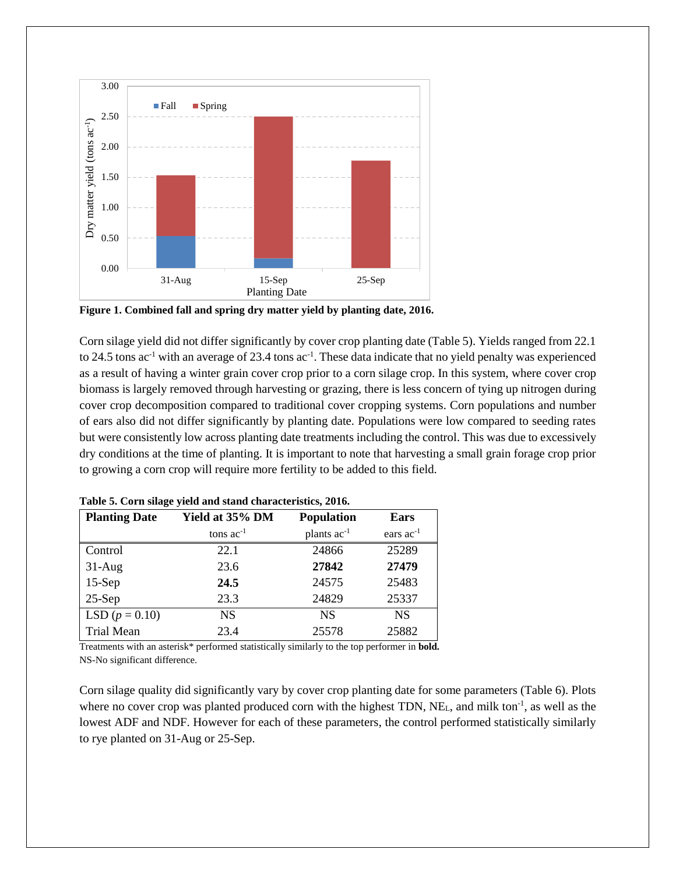

**Figure 1. Combined fall and spring dry matter yield by planting date, 2016.**

Corn silage yield did not differ significantly by cover crop planting date (Table 5). Yields ranged from 22.1 to 24.5 tons ac<sup>-1</sup> with an average of 23.4 tons ac<sup>-1</sup>. These data indicate that no yield penalty was experienced as a result of having a winter grain cover crop prior to a corn silage crop. In this system, where cover crop biomass is largely removed through harvesting or grazing, there is less concern of tying up nitrogen during cover crop decomposition compared to traditional cover cropping systems. Corn populations and number of ears also did not differ significantly by planting date. Populations were low compared to seeding rates but were consistently low across planting date treatments including the control. This was due to excessively dry conditions at the time of planting. It is important to note that harvesting a small grain forage crop prior to growing a corn crop will require more fertility to be added to this field.

| <b>Planting Date</b> | Yield at 35% DM | <b>Population</b>       | Ears           |
|----------------------|-----------------|-------------------------|----------------|
|                      | tons $ac^{-1}$  | plants ac <sup>-1</sup> | ears $ac^{-1}$ |
| Control              | 22.1            | 24866                   | 25289          |
| $31-Aug$             | 23.6            | 27842                   | 27479          |
| $15-Sep$             | 24.5            | 24575                   | 25483          |
| $25-Sep$             | 23.3            | 24829                   | 25337          |
| LSD $(p = 0.10)$     | <b>NS</b>       | <b>NS</b>               | <b>NS</b>      |
| Trial Mean           | 23.4            | 25578                   | 25882          |

**Table 5. Corn silage yield and stand characteristics, 2016.**

Treatments with an asterisk\* performed statistically similarly to the top performer in **bold.** NS-No significant difference.

Corn silage quality did significantly vary by cover crop planting date for some parameters (Table 6). Plots where no cover crop was planted produced corn with the highest TDN, NE<sub>L</sub>, and milk ton<sup>-1</sup>, as well as the lowest ADF and NDF. However for each of these parameters, the control performed statistically similarly to rye planted on 31-Aug or 25-Sep.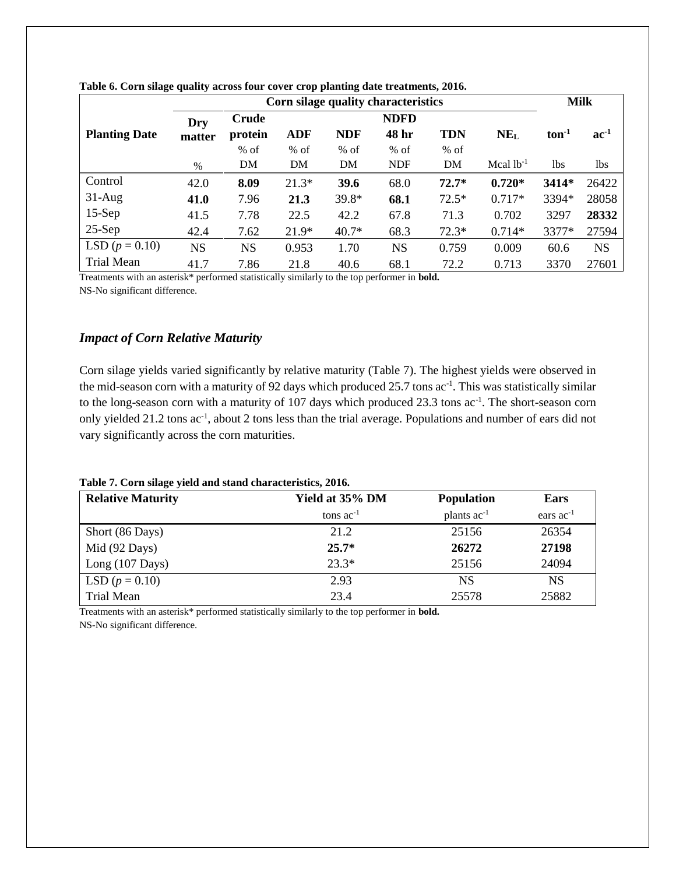|                      |           | Corn silage quality characteristics |            |            |             |            |                 |         |            |
|----------------------|-----------|-------------------------------------|------------|------------|-------------|------------|-----------------|---------|------------|
|                      | Dry       | Crude                               |            |            | <b>NDFD</b> |            |                 |         |            |
| <b>Planting Date</b> | matter    | protein                             | <b>ADF</b> | <b>NDF</b> | 48 hr       | <b>TDN</b> | NE <sub>L</sub> | $ton-1$ | $ac^{-1}$  |
|                      |           | $%$ of                              | $%$ of     | $%$ of     | $%$ of      | $%$ of     |                 |         |            |
|                      | $\%$      | DM                                  | DM         | DM         | <b>NDF</b>  | DM         | Mcal $lb^{-1}$  | 1bs     | <b>lbs</b> |
| Control              | 42.0      | 8.09                                | $21.3*$    | 39.6       | 68.0        | $72.7*$    | $0.720*$        | 3414*   | 26422      |
| $31-Aug$             | 41.0      | 7.96                                | 21.3       | 39.8*      | 68.1        | $72.5*$    | $0.717*$        | 3394*   | 28058      |
| $15-Sep$             | 41.5      | 7.78                                | 22.5       | 42.2       | 67.8        | 71.3       | 0.702           | 3297    | 28332      |
| $25-Sep$             | 42.4      | 7.62                                | $21.9*$    | $40.7*$    | 68.3        | $72.3*$    | $0.714*$        | 3377*   | 27594      |
| LSD $(p = 0.10)$     | <b>NS</b> | <b>NS</b>                           | 0.953      | 1.70       | <b>NS</b>   | 0.759      | 0.009           | 60.6    | <b>NS</b>  |
| <b>Trial Mean</b>    | 41.7      | 7.86                                | 21.8       | 40.6       | 68.1        | 72.2       | 0.713           | 3370    | 27601      |

**Table 6. Corn silage quality across four cover crop planting date treatments, 2016.**

Treatments with an asterisk\* performed statistically similarly to the top performer in **bold.** NS-No significant difference.

#### *Impact of Corn Relative Maturity*

Corn silage yields varied significantly by relative maturity (Table 7). The highest yields were observed in the mid-season corn with a maturity of 92 days which produced 25.7 tons ac<sup>-1</sup>. This was statistically similar to the long-season corn with a maturity of 107 days which produced 23.3 tons ac<sup>-1</sup>. The short-season corn only yielded 21.2 tons ac<sup>-1</sup>, about 2 tons less than the trial average. Populations and number of ears did not vary significantly across the corn maturities.

#### **Table 7. Corn silage yield and stand characteristics, 2016.**

| <b>Relative Maturity</b>  | Yield at 35% DM | <b>Population</b> | Ears           |
|---------------------------|-----------------|-------------------|----------------|
|                           | tons $ac^{-1}$  | plants $ac^{-1}$  | ears $ac^{-1}$ |
| Short (86 Days)           | 21.2            | 25156             | 26354          |
| Mid (92 Days)             | $25.7*$         | 26272             | 27198          |
| Long $(107 \text{ Days})$ | $23.3*$         | 25156             | 24094          |
| LSD $(p = 0.10)$          | 2.93            | NS                | NS             |
| Trial Mean                | 23.4            | 25578             | 25882          |

Treatments with an asterisk\* performed statistically similarly to the top performer in **bold.** NS-No significant difference.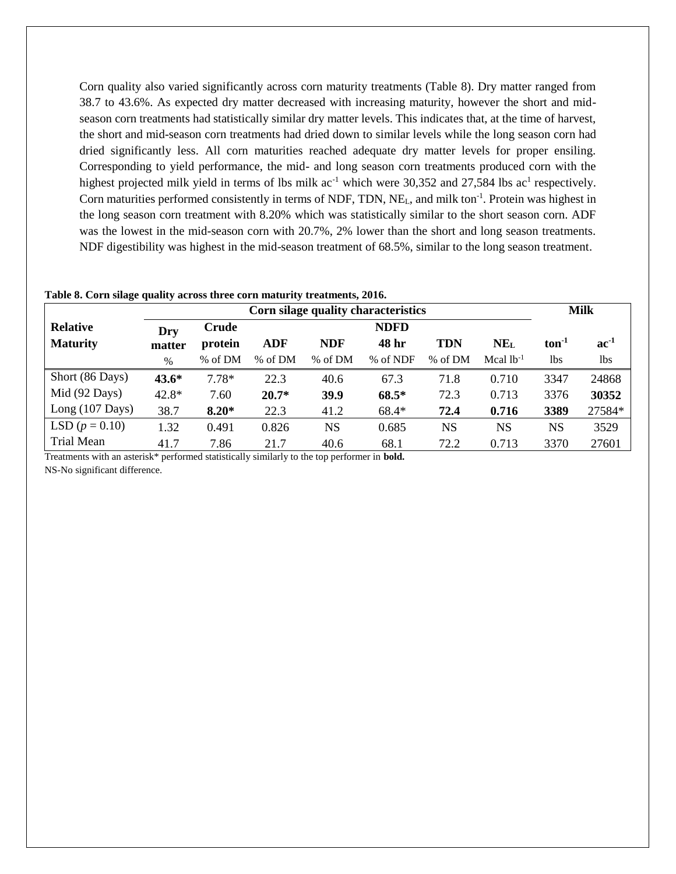Corn quality also varied significantly across corn maturity treatments (Table 8). Dry matter ranged from 38.7 to 43.6%. As expected dry matter decreased with increasing maturity, however the short and midseason corn treatments had statistically similar dry matter levels. This indicates that, at the time of harvest, the short and mid-season corn treatments had dried down to similar levels while the long season corn had dried significantly less. All corn maturities reached adequate dry matter levels for proper ensiling. Corresponding to yield performance, the mid- and long season corn treatments produced corn with the highest projected milk yield in terms of lbs milk  $ac^{-1}$  which were 30,352 and 27,584 lbs  $ac^{1}$  respectively. Corn maturities performed consistently in terms of NDF, TDN, NE<sub>L</sub>, and milk ton<sup>-1</sup>. Protein was highest in the long season corn treatment with 8.20% which was statistically similar to the short season corn. ADF was the lowest in the mid-season corn with 20.7%, 2% lower than the short and long season treatments. NDF digestibility was highest in the mid-season treatment of 68.5%, similar to the long season treatment.

| Table 8. Corn silage quality across three corn maturity treatments, 2016. |         |         |            |             |                                     |            |                 |             |           |
|---------------------------------------------------------------------------|---------|---------|------------|-------------|-------------------------------------|------------|-----------------|-------------|-----------|
|                                                                           |         |         |            |             | Corn silage quality characteristics |            |                 | <b>Milk</b> |           |
| <b>Relative</b>                                                           | Dry     | Crude   |            |             | <b>NDFD</b>                         |            |                 |             |           |
| <b>Maturity</b>                                                           | matter  | protein | <b>ADF</b> | <b>NDF</b>  | 48 hr                               | <b>TDN</b> | NE <sub>L</sub> | $ton-1$     | $ac^{-1}$ |
|                                                                           | %       | % of DM | % of DM    | % of DM     | % of NDF                            | % of DM    | Mcal $lb^{-1}$  | lbs         | lbs       |
| Short (86 Days)                                                           | $43.6*$ | $7.78*$ | 22.3       | 40.6        | 67.3                                | 71.8       | 0.710           | 3347        | 24868     |
| Mid (92 Days)                                                             | $42.8*$ | 7.60    | $20.7*$    | <b>39.9</b> | $68.5*$                             | 72.3       | 0.713           | 3376        | 30352     |
| Long $(107 \text{ Days})$                                                 | 38.7    | $8.20*$ | 22.3       | 41.2        | $68.4*$                             | 72.4       | 0.716           | 3389        | 27584*    |
| LSD $(p = 0.10)$                                                          | 1.32    | 0.491   | 0.826      | <b>NS</b>   | 0.685                               | <b>NS</b>  | <b>NS</b>       | <b>NS</b>   | 3529      |
| Trial Mean                                                                | 41.7    | 7.86    | 21.7       | 40.6        | 68.1                                | 72.2       | 0.713           | 3370        | 27601     |

Treatments with an asterisk\* performed statistically similarly to the top performer in **bold.** NS-No significant difference.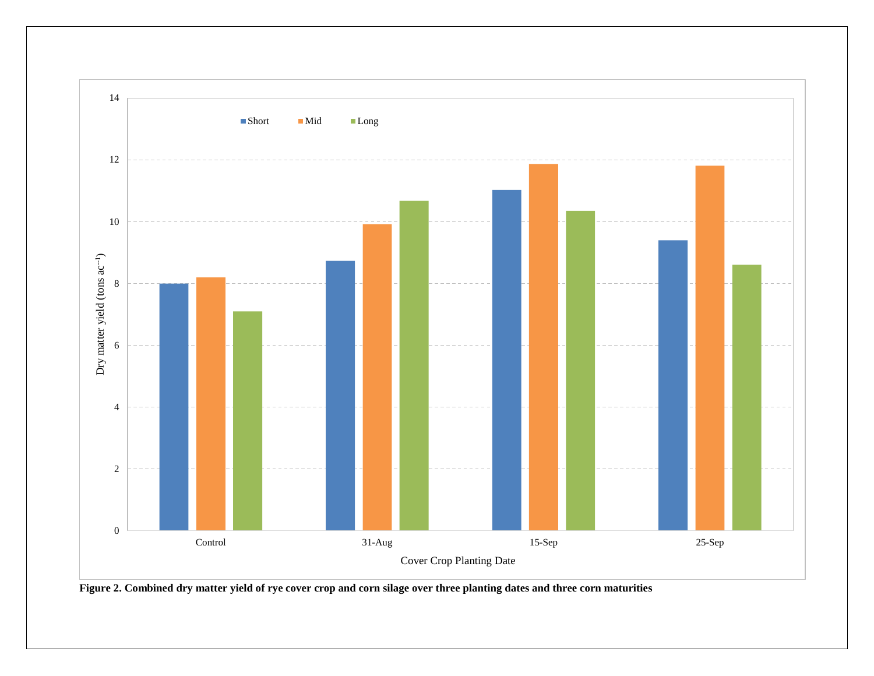